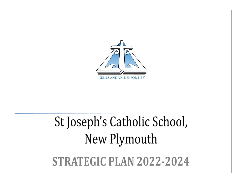

# St Joseph's Catholic School, New Plymouth

STRATEGIC PLAN 2022-2024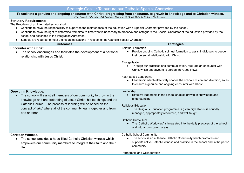# Strategic Goal 1: To nurture our Catholic Special Character.

To facilitate a genuine and ongoing encounter with Christ; progressing from encounter, to growth in knowledge and to Christian witness. *(The Catholic Education of School-Age Children, 2014, NZ Catholic Bishops Conference.)*

## **Statutory Requirements**

The Proprietor of an Integrated school shall:

- Continue to have the responsibility to supervise the maintenance of the education with a Special Character provided by the school.
- Continue to have the right to determine from time-to-time what is necessary to preserve and safeguard the Special Character of the education provided by the school and described in the Integration Agreement.
- Schools are required to meet their legal obligations in respect of the Catholic Special Character.

| <b>Outcomes</b>                                                                                                                                                                                                                                                                                                                       | <b>Strategies</b>                                                                                                                                                                                                                                                                                                                                                                                                                                                         |
|---------------------------------------------------------------------------------------------------------------------------------------------------------------------------------------------------------------------------------------------------------------------------------------------------------------------------------------|---------------------------------------------------------------------------------------------------------------------------------------------------------------------------------------------------------------------------------------------------------------------------------------------------------------------------------------------------------------------------------------------------------------------------------------------------------------------------|
| <b>Encounter with Christ.</b><br>The school encourages and facilitates the development of a personal<br>$\bullet$<br>relationship with Jesus Christ.                                                                                                                                                                                  | <b>Spiritual Formation</b><br>Provide ongoing Catholic spiritual formation to assist individuals to deepen<br>their personal relationship with Christ.<br>Evangelisation<br>Through our practices and communication, facilitate an encounter with<br>Christ which endeavours to spread the Good News.<br>Faith Based Leadership<br>Leadership which effectively shapes the school's vision and direction, so as<br>to ensure a genuine and ongoing encounter with Christ. |
| Growth in Knowledge.<br>The school will assist all members of our community to grow in the<br>$\bullet$<br>knowledge and understanding of Jesus Christ, his teachings and the<br>Catholic Church. The process of learning will be based on the<br>concept of 'ako' where all of the community learn together and from<br>one another. | Leadership<br>Effective leadership in the school enables growth in knowledge and<br>understanding.<br><b>Religious Education</b><br>The Religious Education programme is given high status, is soundly<br>managed, appropriately resourced, and well taught.<br><b>Catholic Curriculum</b><br>The 'Catholic Worldview' is integrated into the daily practices of the school<br>and into all curriculum areas.                                                             |
| <b>Christian Witness.</b><br>The school provides a hope-filled Catholic Christian witness which<br>$\bullet$<br>empowers our community members to integrate their faith and their<br>life.                                                                                                                                            | <b>Catholic School Community</b><br>The school is an authentic Catholic Community which promotes and<br>supports active Catholic witness and practice in the school and in the parish<br>community.<br>Partnership and Collaboration                                                                                                                                                                                                                                      |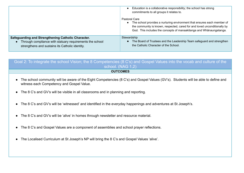|                                                                                                                                                                   | Education is a collaborative responsibility; the school has strong<br>commitments to all groups it relates to.                                                                                                                               |
|-------------------------------------------------------------------------------------------------------------------------------------------------------------------|----------------------------------------------------------------------------------------------------------------------------------------------------------------------------------------------------------------------------------------------|
|                                                                                                                                                                   | Pastoral Care<br>The school provides a nurturing environment that ensures each member of<br>the community is known, respected, cared for and loved unconditionally by<br>God. This includes the concepts of manaakitanga and Whanaungatanga. |
| Safeguarding and Strengthening Catholic Character.<br>Through compliance with statuary requirements the school<br>strengthens and sustains its Catholic identity. | Stewardship<br>The Board of Trustees and the Leadership Team safeguard and strengthen<br>the Catholic Character of the School.                                                                                                               |

Goal 2: To integrate the school Vision; the 8 Competencies (8 C's) and Gospel Values into the vocab and culture of the school. (NAG 1,2) **OUTCOMES**

- The school community will be aware of the Eight Competencies (8 C's) and Gospel Values (GV's). Students will be able to define and witness each Competency and Gospel Value.
- The 8 C's and GV's will be visible in all classrooms and in planning and reporting.
- The 8 C's and GV's will be 'witnessed' and identified in the everyday happenings and adventures at St Joseph's.
- The 8 C's and GV's will be 'alive' in homes through newsletter and resource material.
- The 8 C's and Gospel Values are a component of assemblies and school prayer reflections.
- The Localised Curriculum at St Joseph's NP will bring the 8 C's and Gospel Values 'alive'.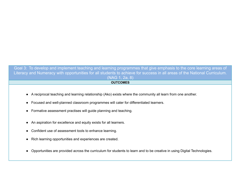Goal 3: To develop and implement teaching and learning programmes that give emphasis to the core learning areas of Literacy and Numeracy with opportunities for all students to achieve for success in all areas of the National Curriculum. (NAG 1, 2a, 8)

### **OUTCOMES**

- A reciprocal teaching and learning relationship (Ako) exists where the community all learn from one another.
- Focused and well-planned classroom programmes will cater for differentiated learners.
- Formative assessment practises will guide planning and teaching.
- An aspiration for excellence and equity exists for all learners.
- Confident use of assessment tools to enhance learning.
- Rich learning opportunities and experiences are created.
- Opportunities are provided across the curriculum for students to learn and to be creative in using Digital Technologies.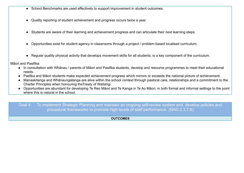- School Benchmarks are used effectively to support improvement in student outcomes.
- Quality reporting of student achievement and progress occurs twice a year.
- Students are aware of their learning and achievement progress and can articulate their next learning steps.
- Opportunities exist for student agency in classrooms through a project / problem based localised curriculum.
- Regular quality physical activity that develops movement skills for all students, is a key component of the curriculum.

Māori and Pasifika:

- In consultation with Whānau / parents of Māori and Pasifika students, develop and resource programmes to meet their educational needs.
- Pasfika and Māori students make expected achievement progress which mirrors or exceeds the national picture of achievement.
- Manaakitanga and Whānaungatanga are alive within the school context through pastoral care, relationships and a commitment to the Charter Principles when honouring theTreaty of Waitangi.
- Opportunities are abundant for developing Te Reo Māori and Te Kanga in Te Ao Māori, in both formal and informal settings to the point where this is natural in the school.

Goal 4: To implement Strategic Planning and maintain an ongoing self-review system and develop policies and procedural frameworks to promote high levels of staff performance. (NAG 2,3,7,8)

**OUTCOMES**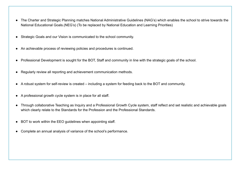- The Charter and Strategic Planning matches National Administrative Guidelines (NAG's) which enables the school to strive towards the National Educational Goals.(NEG's) (To be replaced by National Education and Learning Priorities)
- Strategic Goals and our Vision is communicated to the school community.
- An achievable process of reviewing policies and procedures is continued.
- Professional Development is sought for the BOT, Staff and community in line with the strategic goals of the school.
- Regularly review all reporting and achievement communication methods.
- A robust system for self-review is created including a system for feeding back to the BOT and community.
- A professional growth cycle system is in place for all staff.
- Through collaborative Teaching as Inquiry and a Professional Growth Cycle system, staff reflect and set realistic and achievable goals which clearly relate to the Standards for the Profession and the Professional Standards.
- BOT to work within the EEO guidelines when appointing staff.
- Complete an annual analysis of variance of the school's performance.